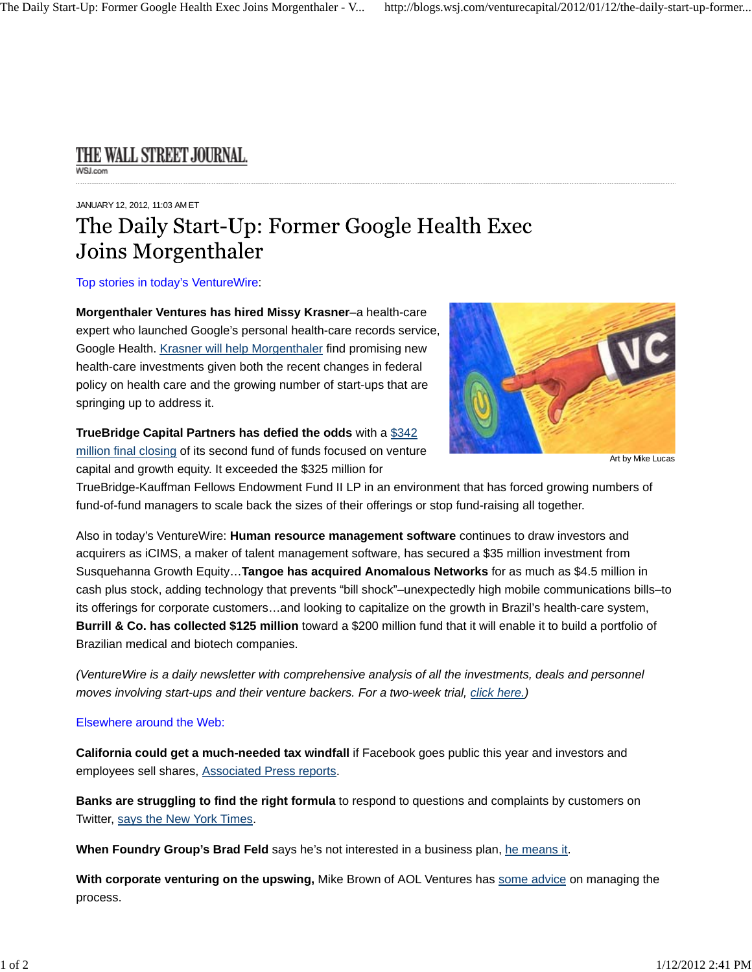## THE WALL STREET JOURNAL.

## JANUARY 12, 2012, 11:03 AM ET

## The Daily Start-Up: Former Google Health Exec Joins Morgenthaler

Top stories in today's VentureWire:

**Morgenthaler Ventures has hired Missy Krasner**–a health-care expert who launched Google's personal health-care records service, Google Health. Krasner will help Morgenthaler find promising new health-care investments given both the recent changes in federal policy on health care and the growing number of start-ups that are springing up to address it.

**TrueBridge Capital Partners has defied the odds** with a \$342 million final closing of its second fund of funds focused on venture

capital and growth equity. It exceeded the \$325 million for



Art by Mike Lucas

TrueBridge-Kauffman Fellows Endowment Fund II LP in an environment that has forced growing numbers of fund-of-fund managers to scale back the sizes of their offerings or stop fund-raising all together.

Also in today's VentureWire: **Human resource management software** continues to draw investors and acquirers as iCIMS, a maker of talent management software, has secured a \$35 million investment from Susquehanna Growth Equity…**Tangoe has acquired Anomalous Networks** for as much as \$4.5 million in cash plus stock, adding technology that prevents "bill shock"–unexpectedly high mobile communications bills–to its offerings for corporate customers…and looking to capitalize on the growth in Brazil's health-care system, **Burrill & Co. has collected \$125 million** toward a \$200 million fund that it will enable it to build a portfolio of Brazilian medical and biotech companies.

*(VentureWire is a daily newsletter with comprehensive analysis of all the investments, deals and personnel moves involving start-ups and their venture backers. For a two-week trial, click here.)*

## Elsewhere around the Web:

**California could get a much-needed tax windfall** if Facebook goes public this year and investors and employees sell shares, Associated Press reports.

**Banks are struggling to find the right formula** to respond to questions and complaints by customers on Twitter, says the New York Times.

**When Foundry Group's Brad Feld** says he's not interested in a business plan, he means it.

**With corporate venturing on the upswing,** Mike Brown of AOL Ventures has some advice on managing the process.